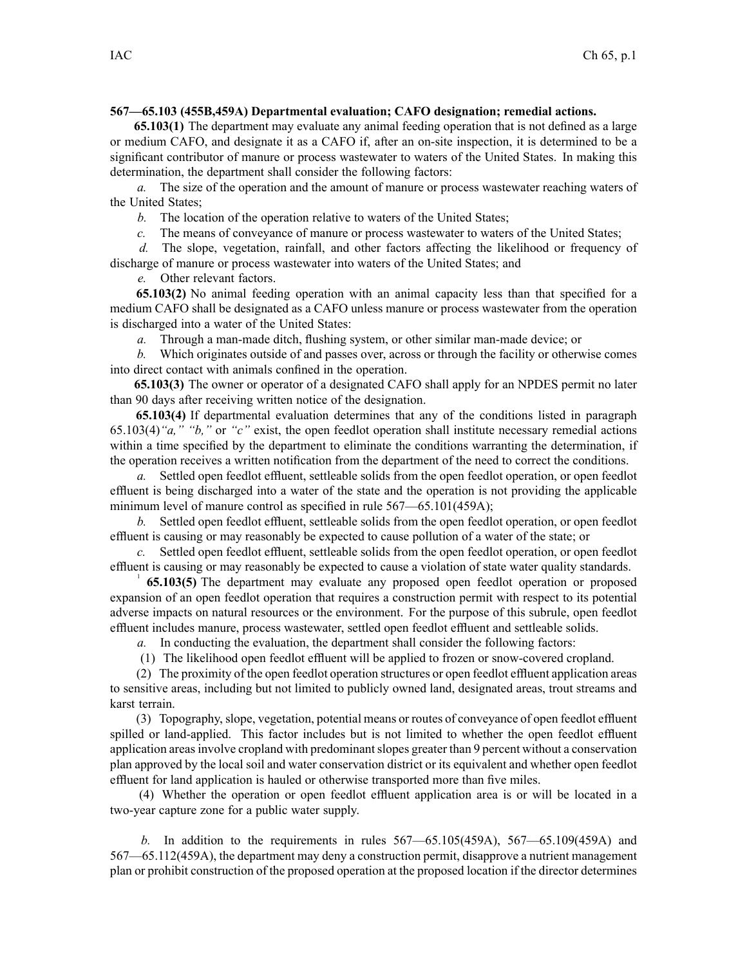## **567—65.103 (455B,459A) Departmental evaluation; CAFO designation; remedial actions.**

**65.103(1)** The department may evaluate any animal feeding operation that is not defined as <sup>a</sup> large or medium CAFO, and designate it as <sup>a</sup> CAFO if, after an on-site inspection, it is determined to be <sup>a</sup> significant contributor of manure or process wastewater to waters of the United States. In making this determination, the department shall consider the following factors:

*a.* The size of the operation and the amount of manure or process wastewater reaching waters of the United States;

*b.* The location of the operation relative to waters of the United States;

*c.* The means of conveyance of manure or process wastewater to waters of the United States;

*d.* The slope, vegetation, rainfall, and other factors affecting the likelihood or frequency of discharge of manure or process wastewater into waters of the United States; and

*e.* Other relevant factors.

**65.103(2)** No animal feeding operation with an animal capacity less than that specified for <sup>a</sup> medium CAFO shall be designated as <sup>a</sup> CAFO unless manure or process wastewater from the operation is discharged into <sup>a</sup> water of the United States:

*a.* Through <sup>a</sup> man-made ditch, flushing system, or other similar man-made device; or

*b.* Which originates outside of and passes over, across or through the facility or otherwise comes into direct contact with animals confined in the operation.

**65.103(3)** The owner or operator of <sup>a</sup> designated CAFO shall apply for an NPDES permit no later than 90 days after receiving written notice of the designation.

**65.103(4)** If departmental evaluation determines that any of the conditions listed in paragraph 65.103(4)*"a," "b,"* or *"c"* exist, the open feedlot operation shall institute necessary remedial actions within a time specified by the department to eliminate the conditions warranting the determination, if the operation receives <sup>a</sup> written notification from the department of the need to correct the conditions.

*a.* Settled open feedlot effluent, settleable solids from the open feedlot operation, or open feedlot effluent is being discharged into <sup>a</sup> water of the state and the operation is not providing the applicable minimum level of manure control as specified in rule 567—65.101(459A);

*b.* Settled open feedlot effluent, settleable solids from the open feedlot operation, or open feedlot effluent is causing or may reasonably be expected to cause pollution of <sup>a</sup> water of the state; or

*c.* Settled open feedlot effluent, settleable solids from the open feedlot operation, or open feedlot effluent is causing or may reasonably be expected to cause <sup>a</sup> violation of state water quality standards.

<sup>1</sup> **65.103(5)** The department may evaluate any proposed open feedlot operation or proposed expansion of an open feedlot operation that requires <sup>a</sup> construction permit with respec<sup>t</sup> to its potential adverse impacts on natural resources or the environment. For the purpose of this subrule, open feedlot effluent includes manure, process wastewater, settled open feedlot effluent and settleable solids.

*a.* In conducting the evaluation, the department shall consider the following factors:

(1) The likelihood open feedlot effluent will be applied to frozen or snow-covered cropland.

(2) The proximity of the open feedlot operation structures or open feedlot effluent application areas to sensitive areas, including but not limited to publicly owned land, designated areas, trout streams and karst terrain.

(3) Topography, slope, vegetation, potential means or routes of conveyance of open feedlot effluent spilled or land-applied. This factor includes but is not limited to whether the open feedlot effluent application areas involve cropland with predominant slopes greater than 9 percent without a conservation plan approved by the local soil and water conservation district or its equivalent and whether open feedlot effluent for land application is hauled or otherwise transported more than five miles.

(4) Whether the operation or open feedlot effluent application area is or will be located in <sup>a</sup> two-year capture zone for <sup>a</sup> public water supply.

*b.* In addition to the requirements in rules 567—65.105(459A), 567—65.109(459A) and 567—65.112(459A), the department may deny <sup>a</sup> construction permit, disapprove <sup>a</sup> nutrient managemen<sup>t</sup> plan or prohibit construction of the proposed operation at the proposed location if the director determines